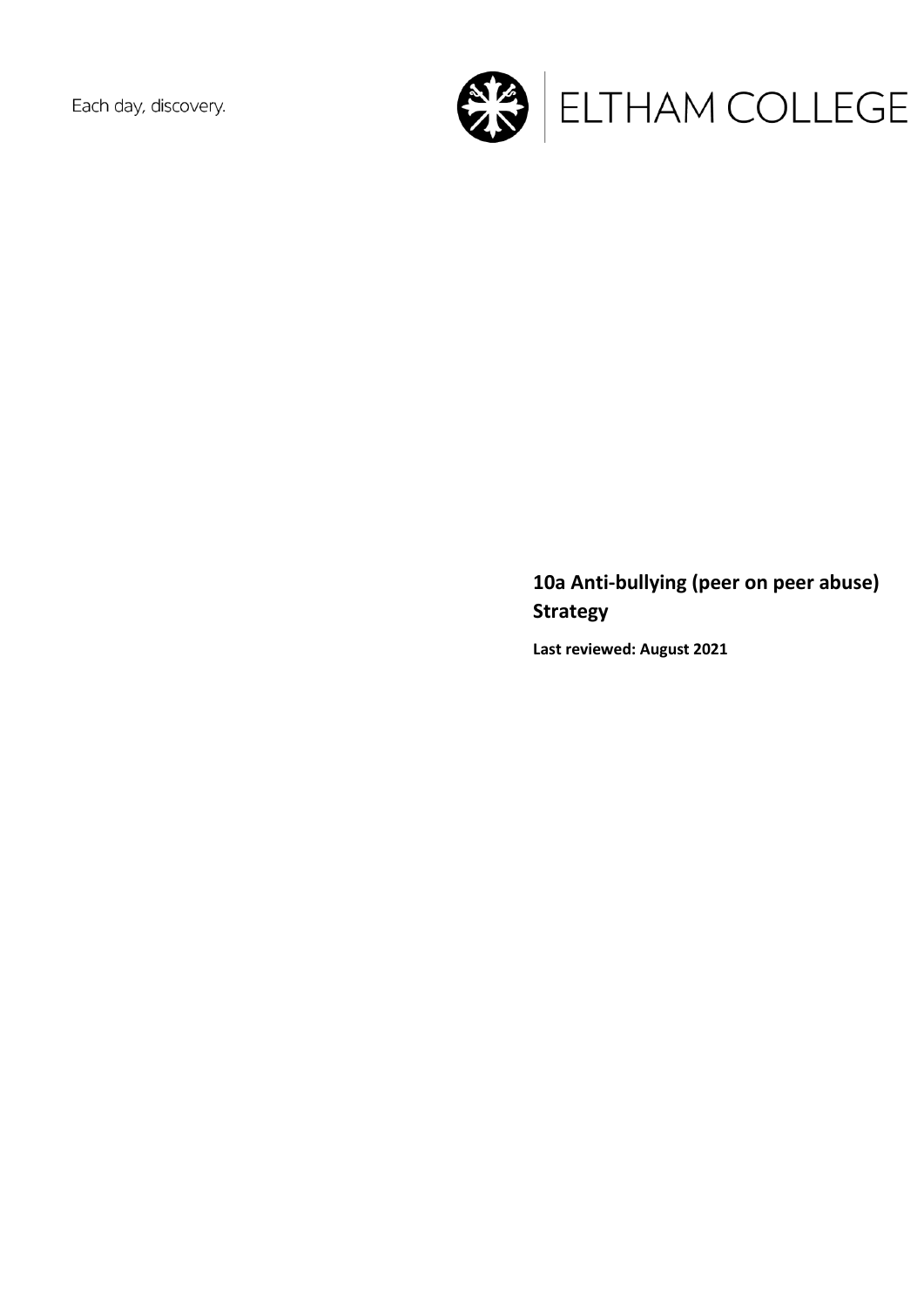Each day, discovery.



# **10a Anti-bullying (peer on peer abuse) Strategy**

**Last reviewed: August 2021**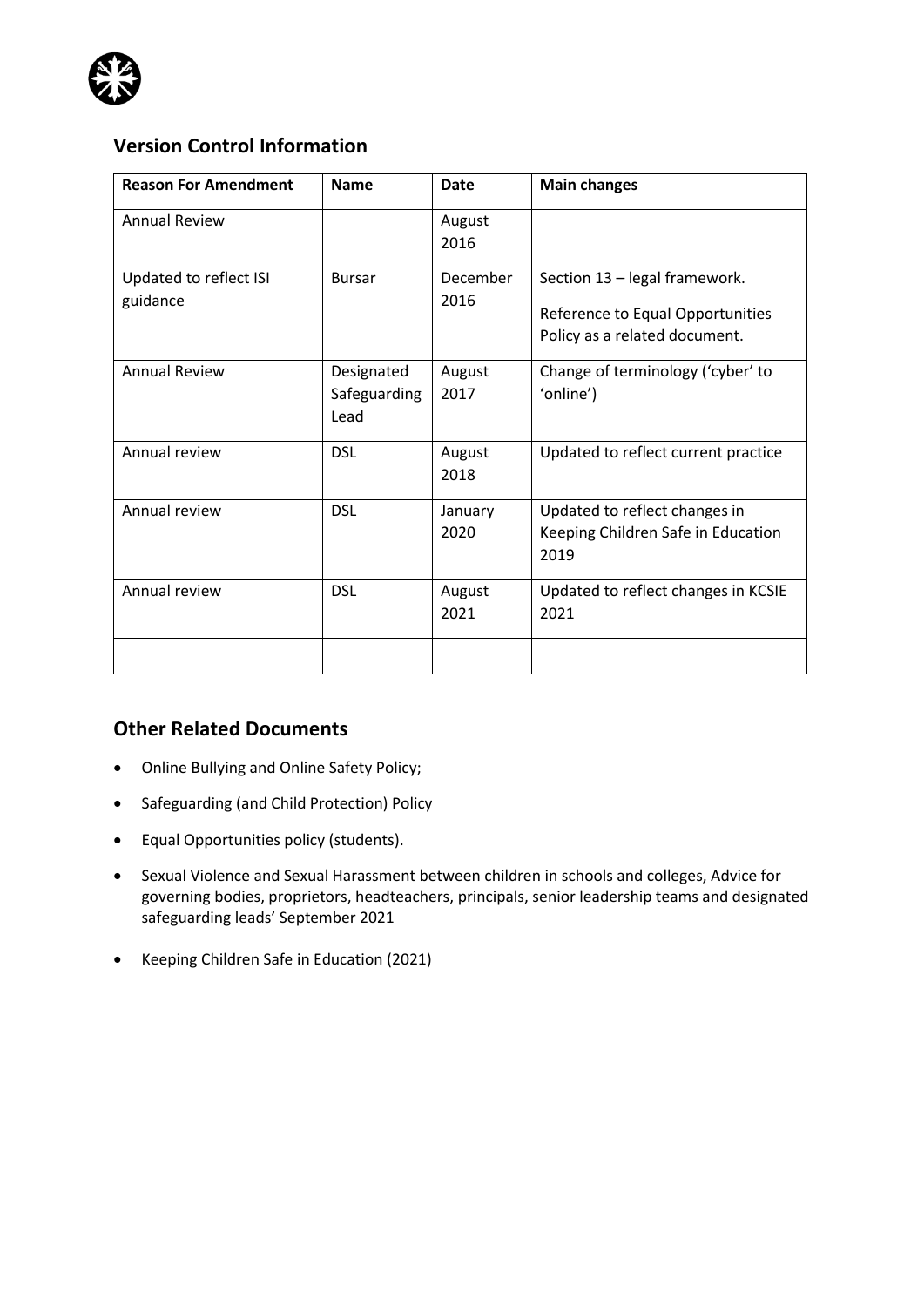

# **Version Control Information**

| <b>Reason For Amendment</b>        | <b>Name</b>                        | Date             | <b>Main changes</b>                                                                                |
|------------------------------------|------------------------------------|------------------|----------------------------------------------------------------------------------------------------|
| <b>Annual Review</b>               |                                    | August<br>2016   |                                                                                                    |
| Updated to reflect ISI<br>guidance | <b>Bursar</b>                      | December<br>2016 | Section 13 - legal framework.<br>Reference to Equal Opportunities<br>Policy as a related document. |
| <b>Annual Review</b>               | Designated<br>Safeguarding<br>Lead | August<br>2017   | Change of terminology ('cyber' to<br>'online')                                                     |
| Annual review                      | <b>DSL</b>                         | August<br>2018   | Updated to reflect current practice                                                                |
| Annual review                      | <b>DSL</b>                         | January<br>2020  | Updated to reflect changes in<br>Keeping Children Safe in Education<br>2019                        |
| Annual review                      | <b>DSL</b>                         | August<br>2021   | Updated to reflect changes in KCSIE<br>2021                                                        |
|                                    |                                    |                  |                                                                                                    |

### **Other Related Documents**

- Online Bullying and Online Safety Policy;
- Safeguarding (and Child Protection) Policy
- Equal Opportunities policy (students).
- Sexual Violence and Sexual Harassment between children in schools and colleges, Advice for governing bodies, proprietors, headteachers, principals, senior leadership teams and designated safeguarding leads' September 2021
- Keeping Children Safe in Education (2021)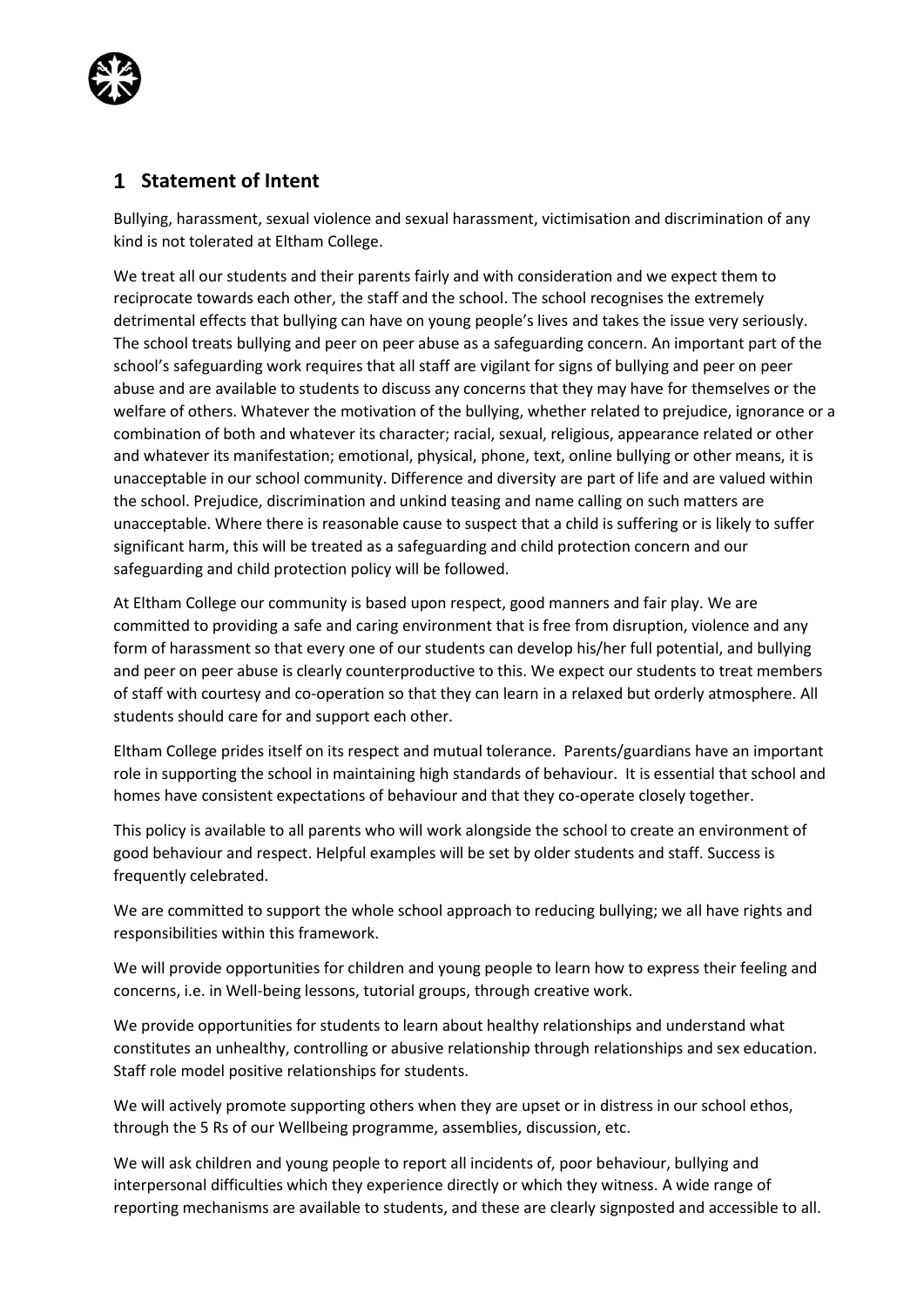

### **Statement of Intent**

Bullying, harassment, sexual violence and sexual harassment, victimisation and discrimination of any kind is not tolerated at Eltham College.

We treat all our students and their parents fairly and with consideration and we expect them to reciprocate towards each other, the staff and the school. The school recognises the extremely detrimental effects that bullying can have on young people's lives and takes the issue very seriously. The school treats bullying and peer on peer abuse as a safeguarding concern. An important part of the school's safeguarding work requires that all staff are vigilant for signs of bullying and peer on peer abuse and are available to students to discuss any concerns that they may have for themselves or the welfare of others. Whatever the motivation of the bullying, whether related to prejudice, ignorance or a combination of both and whatever its character; racial, sexual, religious, appearance related or other and whatever its manifestation; emotional, physical, phone, text, online bullying or other means, it is unacceptable in our school community. Difference and diversity are part of life and are valued within the school. Prejudice, discrimination and unkind teasing and name calling on such matters are unacceptable. Where there is reasonable cause to suspect that a child is suffering or is likely to suffer significant harm, this will be treated as a safeguarding and child protection concern and our safeguarding and child protection policy will be followed.

At Eltham College our community is based upon respect, good manners and fair play. We are committed to providing a safe and caring environment that is free from disruption, violence and any form of harassment so that every one of our students can develop his/her full potential, and bullying and peer on peer abuse is clearly counterproductive to this. We expect our students to treat members of staff with courtesy and co-operation so that they can learn in a relaxed but orderly atmosphere. All students should care for and support each other.

Eltham College prides itself on its respect and mutual tolerance. Parents/guardians have an important role in supporting the school in maintaining high standards of behaviour. It is essential that school and homes have consistent expectations of behaviour and that they co-operate closely together.

This policy is available to all parents who will work alongside the school to create an environment of good behaviour and respect. Helpful examples will be set by older students and staff. Success is frequently celebrated.

We are committed to support the whole school approach to reducing bullying; we all have rights and responsibilities within this framework.

We will provide opportunities for children and young people to learn how to express their feeling and concerns, i.e. in Well-being lessons, tutorial groups, through creative work.

We provide opportunities for students to learn about healthy relationships and understand what constitutes an unhealthy, controlling or abusive relationship through relationships and sex education. Staff role model positive relationships for students.

We will actively promote supporting others when they are upset or in distress in our school ethos, through the 5 Rs of our Wellbeing programme, assemblies, discussion, etc.

We will ask children and young people to report all incidents of, poor behaviour, bullying and interpersonal difficulties which they experience directly or which they witness. A wide range of reporting mechanisms are available to students, and these are clearly signposted and accessible to all.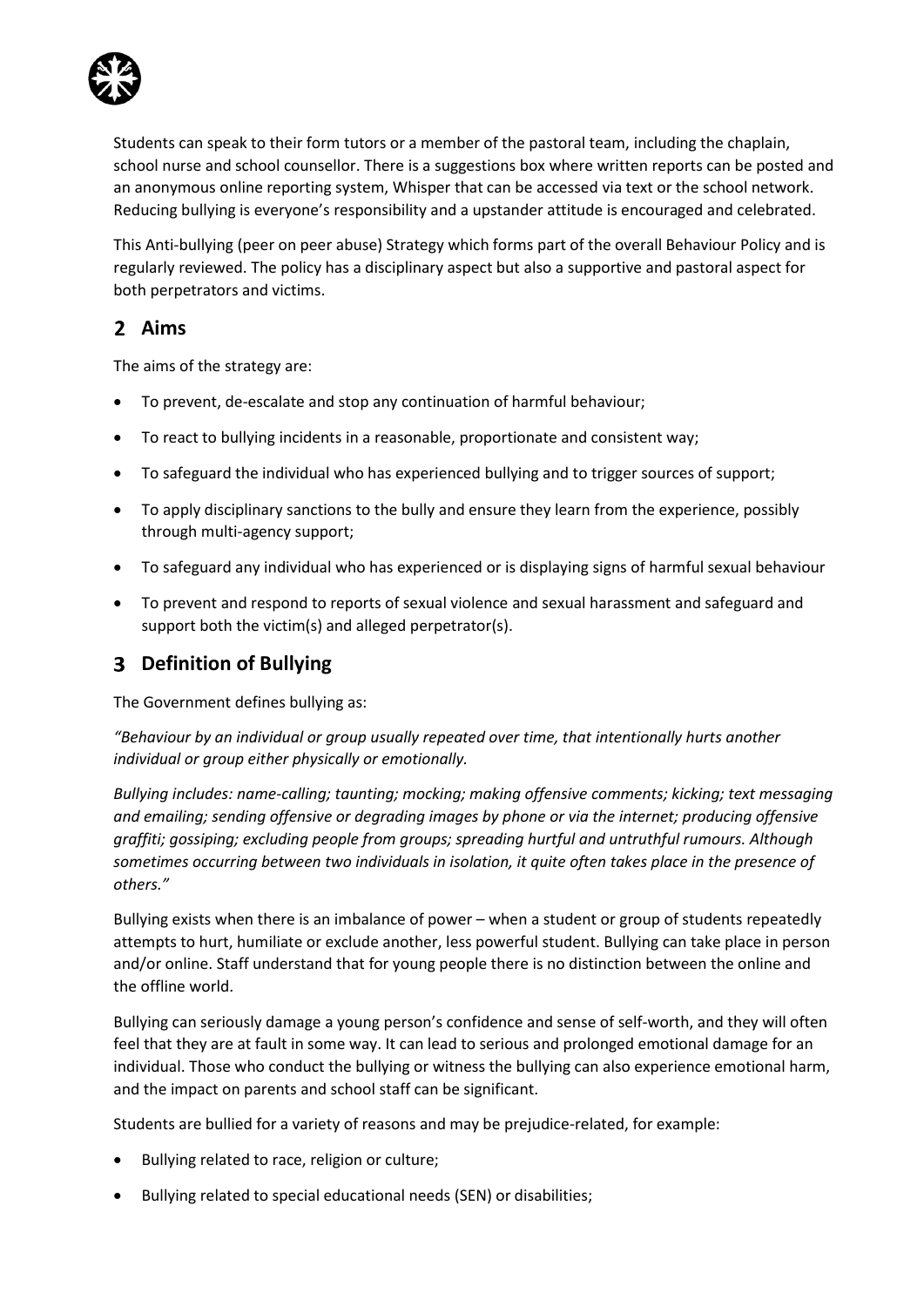

Students can speak to their form tutors or a member of the pastoral team, including the chaplain, school nurse and school counsellor. There is a suggestions box where written reports can be posted and an anonymous online reporting system, Whisper that can be accessed via text or the school network. Reducing bullying is everyone's responsibility and a upstander attitude is encouraged and celebrated.

This Anti-bullying (peer on peer abuse) Strategy which forms part of the overall Behaviour Policy and is regularly reviewed. The policy has a disciplinary aspect but also a supportive and pastoral aspect for both perpetrators and victims.

# **Aims**

The aims of the strategy are:

- To prevent, de-escalate and stop any continuation of harmful behaviour;
- To react to bullying incidents in a reasonable, proportionate and consistent way;
- To safeguard the individual who has experienced bullying and to trigger sources of support;
- To apply disciplinary sanctions to the bully and ensure they learn from the experience, possibly through multi-agency support;
- To safeguard any individual who has experienced or is displaying signs of harmful sexual behaviour
- To prevent and respond to reports of sexual violence and sexual harassment and safeguard and support both the victim(s) and alleged perpetrator(s).

# **Definition of Bullying**

The Government defines bullying as:

*"Behaviour by an individual or group usually repeated over time, that intentionally hurts another individual or group either physically or emotionally.*

*Bullying includes: name-calling; taunting; mocking; making offensive comments; kicking; text messaging and emailing; sending offensive or degrading images by phone or via the internet; producing offensive graffiti; gossiping; excluding people from groups; spreading hurtful and untruthful rumours. Although sometimes occurring between two individuals in isolation, it quite often takes place in the presence of others."*

Bullying exists when there is an imbalance of power – when a student or group of students repeatedly attempts to hurt, humiliate or exclude another, less powerful student. Bullying can take place in person and/or online. Staff understand that for young people there is no distinction between the online and the offline world.

Bullying can seriously damage a young person's confidence and sense of self-worth, and they will often feel that they are at fault in some way. It can lead to serious and prolonged emotional damage for an individual. Those who conduct the bullying or witness the bullying can also experience emotional harm, and the impact on parents and school staff can be significant.

Students are bullied for a variety of reasons and may be prejudice-related, for example:

- Bullying related to race, religion or culture;
- Bullying related to special educational needs (SEN) or disabilities;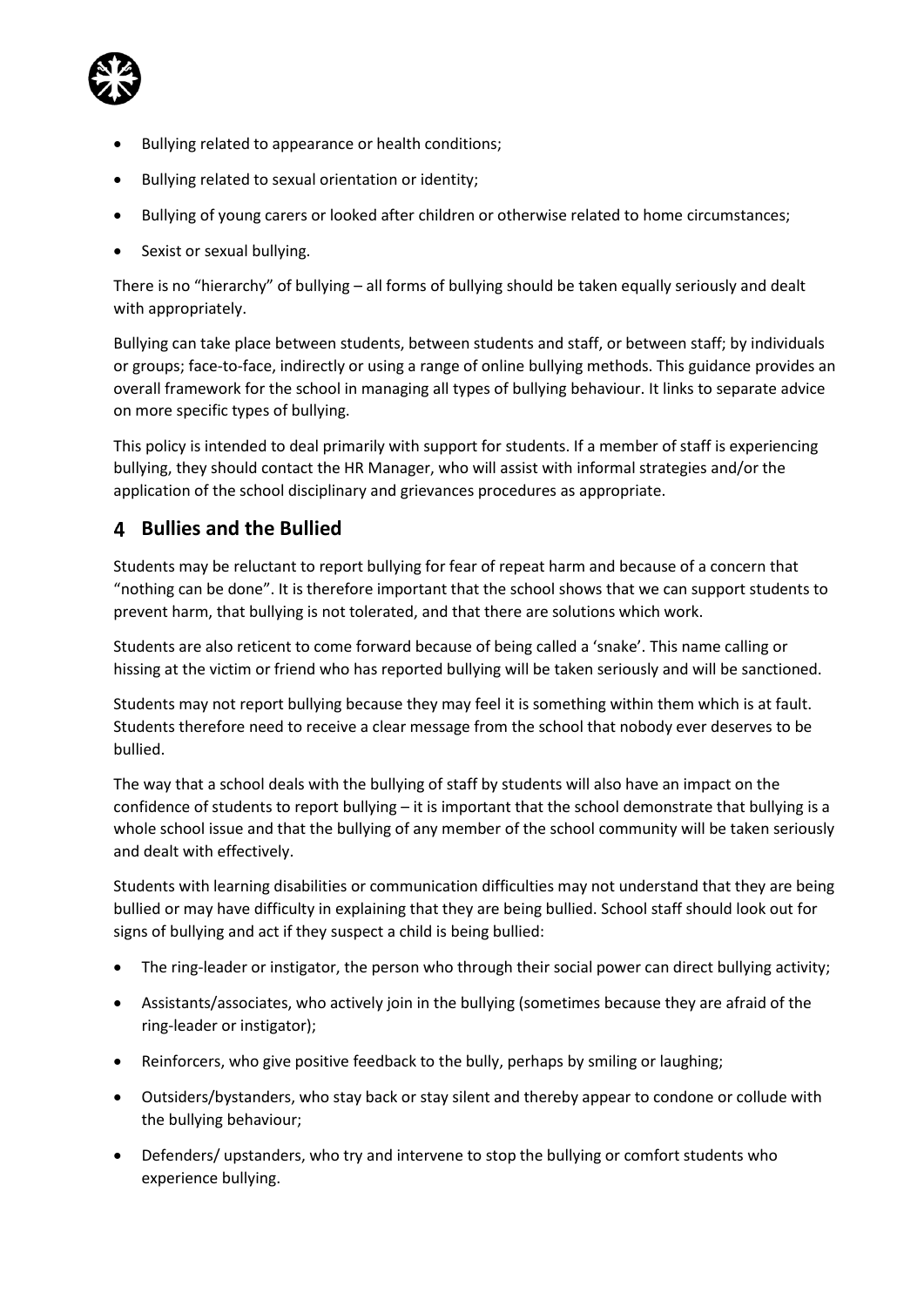

- Bullying related to appearance or health conditions;
- Bullying related to sexual orientation or identity;
- Bullying of young carers or looked after children or otherwise related to home circumstances;
- Sexist or sexual bullying.

There is no "hierarchy" of bullying – all forms of bullying should be taken equally seriously and dealt with appropriately.

Bullying can take place between students, between students and staff, or between staff; by individuals or groups; face-to-face, indirectly or using a range of online bullying methods. This guidance provides an overall framework for the school in managing all types of bullying behaviour. It links to separate advice on more specific types of bullying.

This policy is intended to deal primarily with support for students. If a member of staff is experiencing bullying, they should contact the HR Manager, who will assist with informal strategies and/or the application of the school disciplinary and grievances procedures as appropriate.

# **Bullies and the Bullied**

Students may be reluctant to report bullying for fear of repeat harm and because of a concern that "nothing can be done". It is therefore important that the school shows that we can support students to prevent harm, that bullying is not tolerated, and that there are solutions which work.

Students are also reticent to come forward because of being called a 'snake'. This name calling or hissing at the victim or friend who has reported bullying will be taken seriously and will be sanctioned.

Students may not report bullying because they may feel it is something within them which is at fault. Students therefore need to receive a clear message from the school that nobody ever deserves to be bullied.

The way that a school deals with the bullying of staff by students will also have an impact on the confidence of students to report bullying – it is important that the school demonstrate that bullying is a whole school issue and that the bullying of any member of the school community will be taken seriously and dealt with effectively.

Students with learning disabilities or communication difficulties may not understand that they are being bullied or may have difficulty in explaining that they are being bullied. School staff should look out for signs of bullying and act if they suspect a child is being bullied:

- The ring-leader or instigator, the person who through their social power can direct bullying activity;
- Assistants/associates, who actively join in the bullying (sometimes because they are afraid of the ring-leader or instigator);
- Reinforcers, who give positive feedback to the bully, perhaps by smiling or laughing;
- Outsiders/bystanders, who stay back or stay silent and thereby appear to condone or collude with the bullying behaviour;
- Defenders/ upstanders, who try and intervene to stop the bullying or comfort students who experience bullying.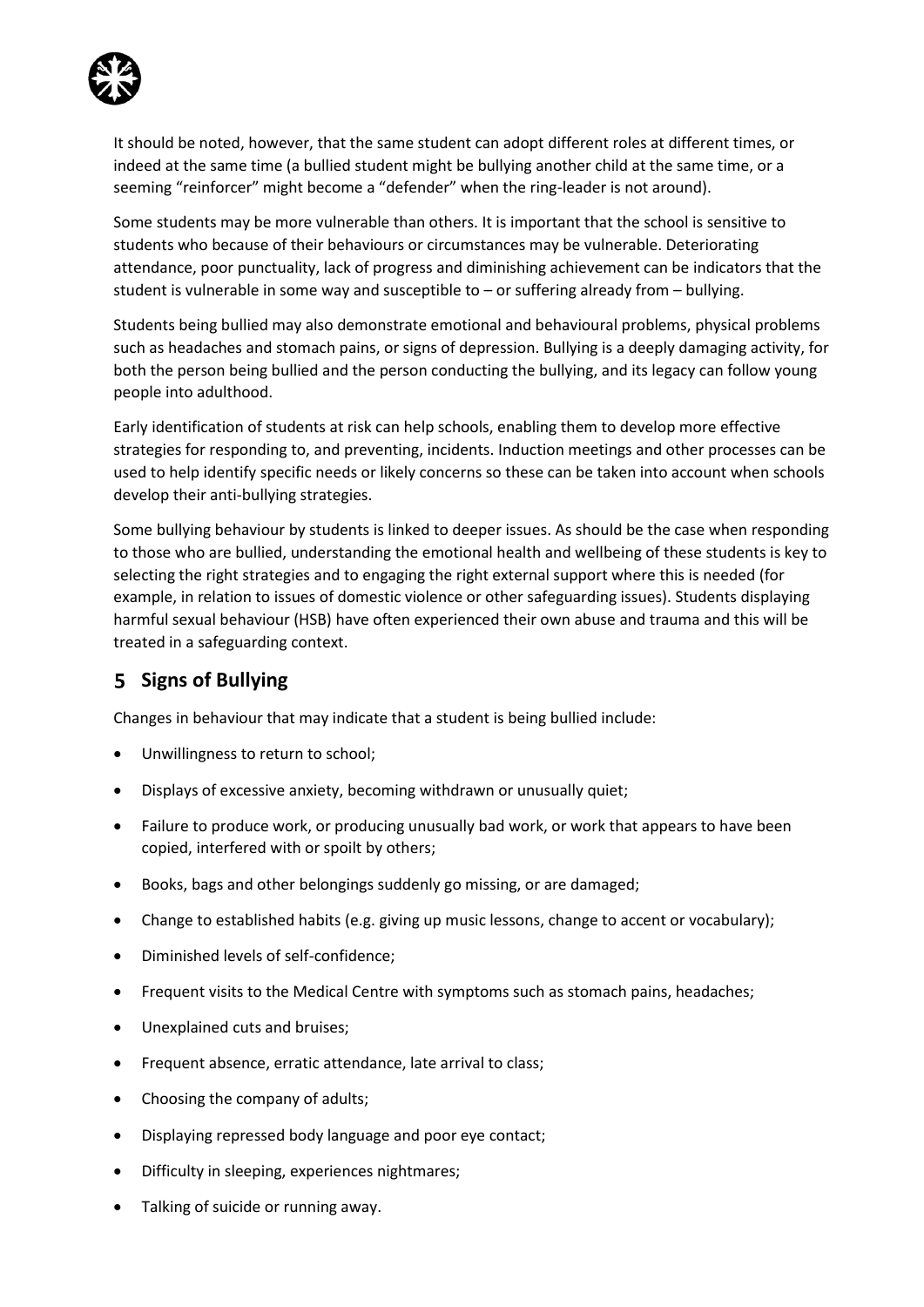

It should be noted, however, that the same student can adopt different roles at different times, or indeed at the same time (a bullied student might be bullying another child at the same time, or a seeming "reinforcer" might become a "defender" when the ring-leader is not around).

Some students may be more vulnerable than others. It is important that the school is sensitive to students who because of their behaviours or circumstances may be vulnerable. Deteriorating attendance, poor punctuality, lack of progress and diminishing achievement can be indicators that the student is vulnerable in some way and susceptible to – or suffering already from – bullying.

Students being bullied may also demonstrate emotional and behavioural problems, physical problems such as headaches and stomach pains, or signs of depression. Bullying is a deeply damaging activity, for both the person being bullied and the person conducting the bullying, and its legacy can follow young people into adulthood.

Early identification of students at risk can help schools, enabling them to develop more effective strategies for responding to, and preventing, incidents. Induction meetings and other processes can be used to help identify specific needs or likely concerns so these can be taken into account when schools develop their anti-bullying strategies.

Some bullying behaviour by students is linked to deeper issues. As should be the case when responding to those who are bullied, understanding the emotional health and wellbeing of these students is key to selecting the right strategies and to engaging the right external support where this is needed (for example, in relation to issues of domestic violence or other safeguarding issues). Students displaying harmful sexual behaviour (HSB) have often experienced their own abuse and trauma and this will be treated in a safeguarding context.

# **Signs of Bullying**

Changes in behaviour that may indicate that a student is being bullied include:

- Unwillingness to return to school;
- Displays of excessive anxiety, becoming withdrawn or unusually quiet;
- Failure to produce work, or producing unusually bad work, or work that appears to have been copied, interfered with or spoilt by others;
- Books, bags and other belongings suddenly go missing, or are damaged;
- Change to established habits (e.g. giving up music lessons, change to accent or vocabulary);
- Diminished levels of self-confidence;
- Frequent visits to the Medical Centre with symptoms such as stomach pains, headaches;
- Unexplained cuts and bruises;
- Frequent absence, erratic attendance, late arrival to class;
- Choosing the company of adults;
- Displaying repressed body language and poor eye contact;
- Difficulty in sleeping, experiences nightmares;
- Talking of suicide or running away.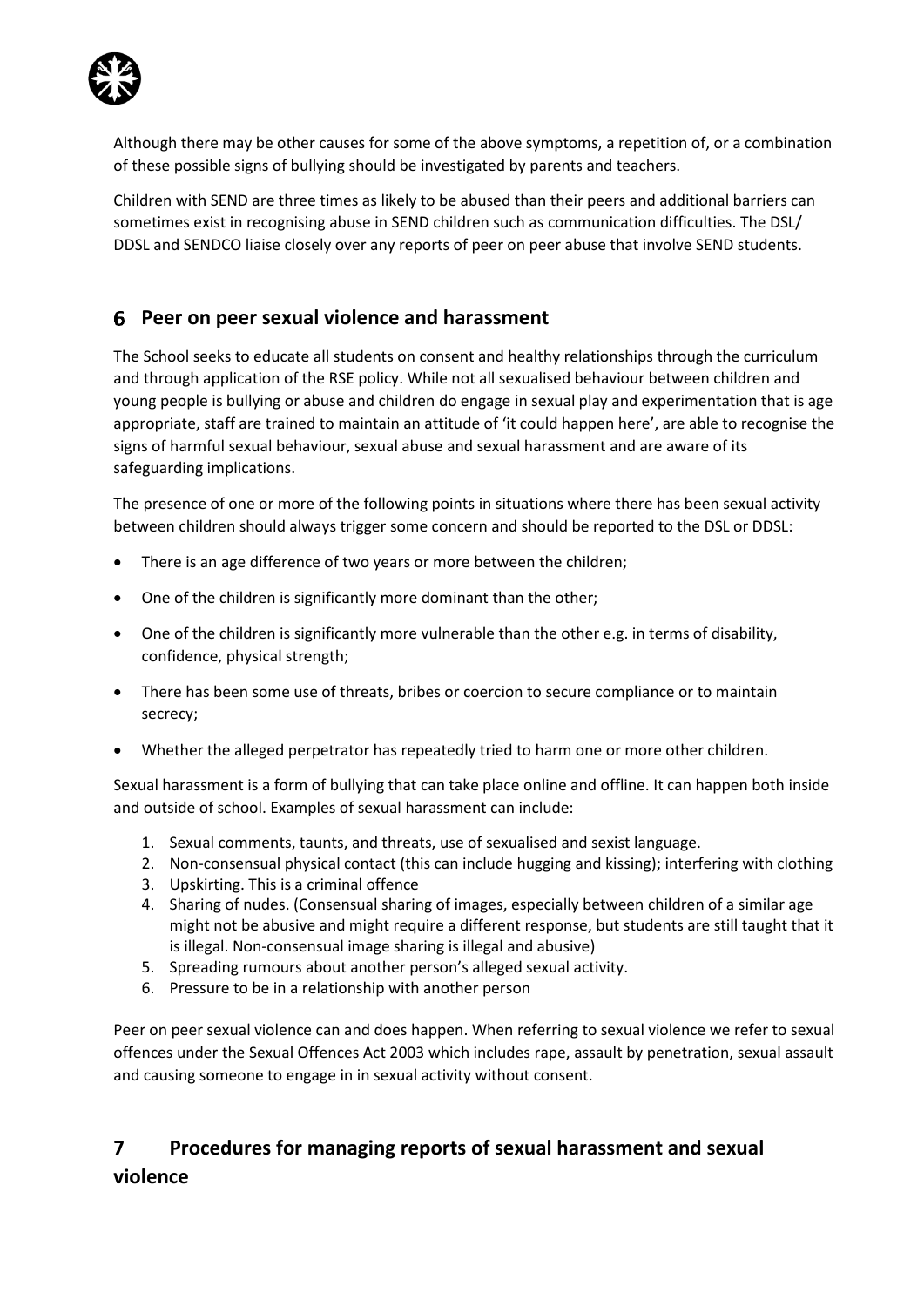

Although there may be other causes for some of the above symptoms, a repetition of, or a combination of these possible signs of bullying should be investigated by parents and teachers.

Children with SEND are three times as likely to be abused than their peers and additional barriers can sometimes exist in recognising abuse in SEND children such as communication difficulties. The DSL/ DDSL and SENDCO liaise closely over any reports of peer on peer abuse that involve SEND students.

## **Peer on peer sexual violence and harassment**

The School seeks to educate all students on consent and healthy relationships through the curriculum and through application of the RSE policy. While not all sexualised behaviour between children and young people is bullying or abuse and children do engage in sexual play and experimentation that is age appropriate, staff are trained to maintain an attitude of 'it could happen here', are able to recognise the signs of harmful sexual behaviour, sexual abuse and sexual harassment and are aware of its safeguarding implications.

The presence of one or more of the following points in situations where there has been sexual activity between children should always trigger some concern and should be reported to the DSL or DDSL:

- There is an age difference of two years or more between the children;
- One of the children is significantly more dominant than the other;
- One of the children is significantly more vulnerable than the other e.g. in terms of disability, confidence, physical strength;
- There has been some use of threats, bribes or coercion to secure compliance or to maintain secrecy;
- Whether the alleged perpetrator has repeatedly tried to harm one or more other children.

Sexual harassment is a form of bullying that can take place online and offline. It can happen both inside and outside of school. Examples of sexual harassment can include:

- 1. Sexual comments, taunts, and threats, use of sexualised and sexist language.
- 2. Non-consensual physical contact (this can include hugging and kissing); interfering with clothing
- 3. Upskirting. This is a criminal offence
- 4. Sharing of nudes. (Consensual sharing of images, especially between children of a similar age might not be abusive and might require a different response, but students are still taught that it is illegal. Non-consensual image sharing is illegal and abusive)
- 5. Spreading rumours about another person's alleged sexual activity.
- 6. Pressure to be in a relationship with another person

Peer on peer sexual violence can and does happen. When referring to sexual violence we refer to sexual offences under the Sexual Offences Act 2003 which includes rape, assault by penetration, sexual assault and causing someone to engage in in sexual activity without consent.

# **7 Procedures for managing reports of sexual harassment and sexual violence**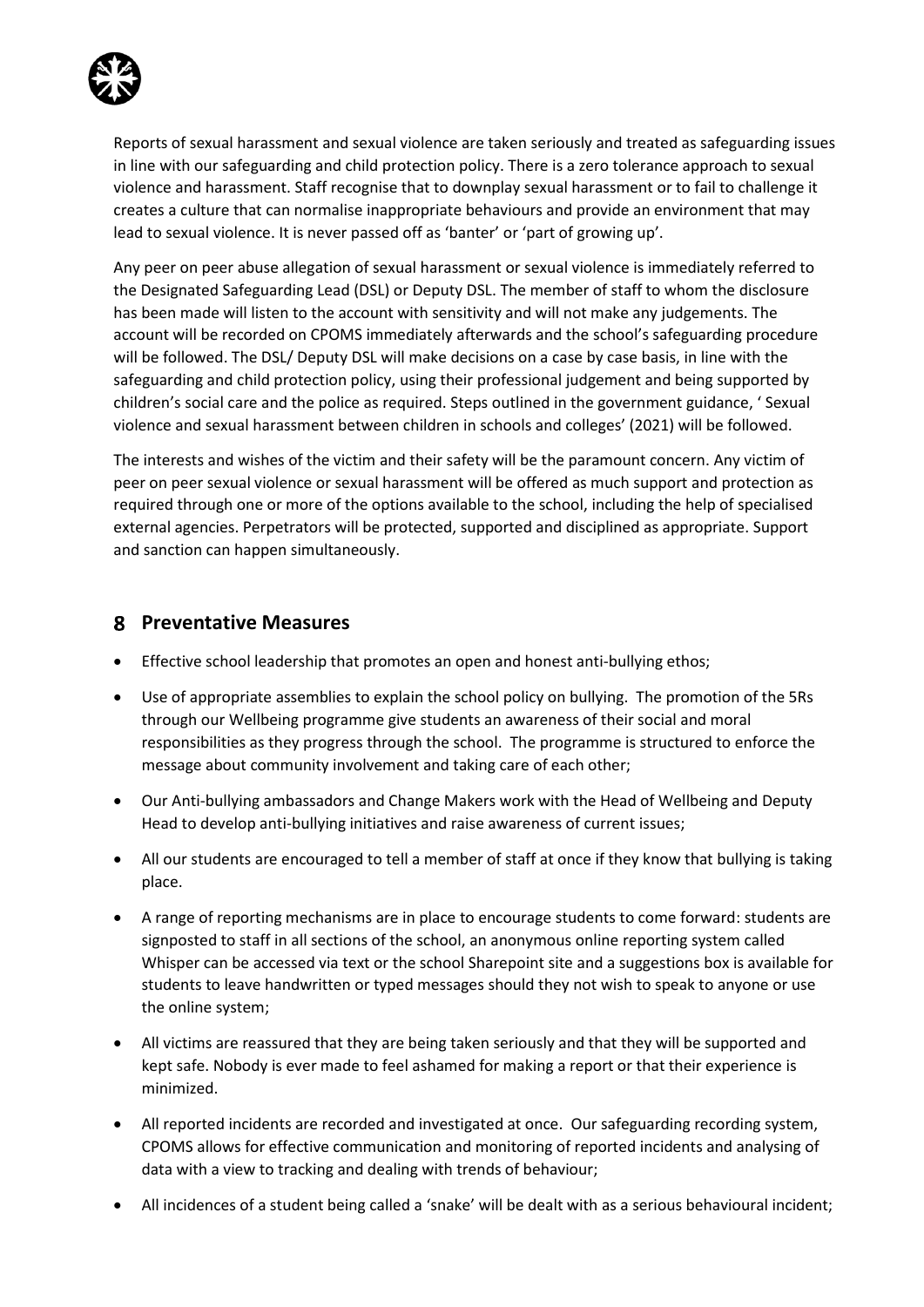

Reports of sexual harassment and sexual violence are taken seriously and treated as safeguarding issues in line with our safeguarding and child protection policy. There is a zero tolerance approach to sexual violence and harassment. Staff recognise that to downplay sexual harassment or to fail to challenge it creates a culture that can normalise inappropriate behaviours and provide an environment that may lead to sexual violence. It is never passed off as 'banter' or 'part of growing up'.

Any peer on peer abuse allegation of sexual harassment or sexual violence is immediately referred to the Designated Safeguarding Lead (DSL) or Deputy DSL. The member of staff to whom the disclosure has been made will listen to the account with sensitivity and will not make any judgements. The account will be recorded on CPOMS immediately afterwards and the school's safeguarding procedure will be followed. The DSL/ Deputy DSL will make decisions on a case by case basis, in line with the safeguarding and child protection policy, using their professional judgement and being supported by children's social care and the police as required. Steps outlined in the government guidance, ' Sexual violence and sexual harassment between children in schools and colleges' (2021) will be followed.

The interests and wishes of the victim and their safety will be the paramount concern. Any victim of peer on peer sexual violence or sexual harassment will be offered as much support and protection as required through one or more of the options available to the school, including the help of specialised external agencies. Perpetrators will be protected, supported and disciplined as appropriate. Support and sanction can happen simultaneously.

#### **Preventative Measures**

- Effective school leadership that promotes an open and honest anti-bullying ethos;
- Use of appropriate assemblies to explain the school policy on bullying. The promotion of the 5Rs through our Wellbeing programme give students an awareness of their social and moral responsibilities as they progress through the school. The programme is structured to enforce the message about community involvement and taking care of each other;
- Our Anti-bullying ambassadors and Change Makers work with the Head of Wellbeing and Deputy Head to develop anti-bullying initiatives and raise awareness of current issues;
- All our students are encouraged to tell a member of staff at once if they know that bullying is taking place.
- A range of reporting mechanisms are in place to encourage students to come forward: students are signposted to staff in all sections of the school, an anonymous online reporting system called Whisper can be accessed via text or the school Sharepoint site and a suggestions box is available for students to leave handwritten or typed messages should they not wish to speak to anyone or use the online system;
- All victims are reassured that they are being taken seriously and that they will be supported and kept safe. Nobody is ever made to feel ashamed for making a report or that their experience is minimized.
- All reported incidents are recorded and investigated at once. Our safeguarding recording system, CPOMS allows for effective communication and monitoring of reported incidents and analysing of data with a view to tracking and dealing with trends of behaviour;
- All incidences of a student being called a 'snake' will be dealt with as a serious behavioural incident;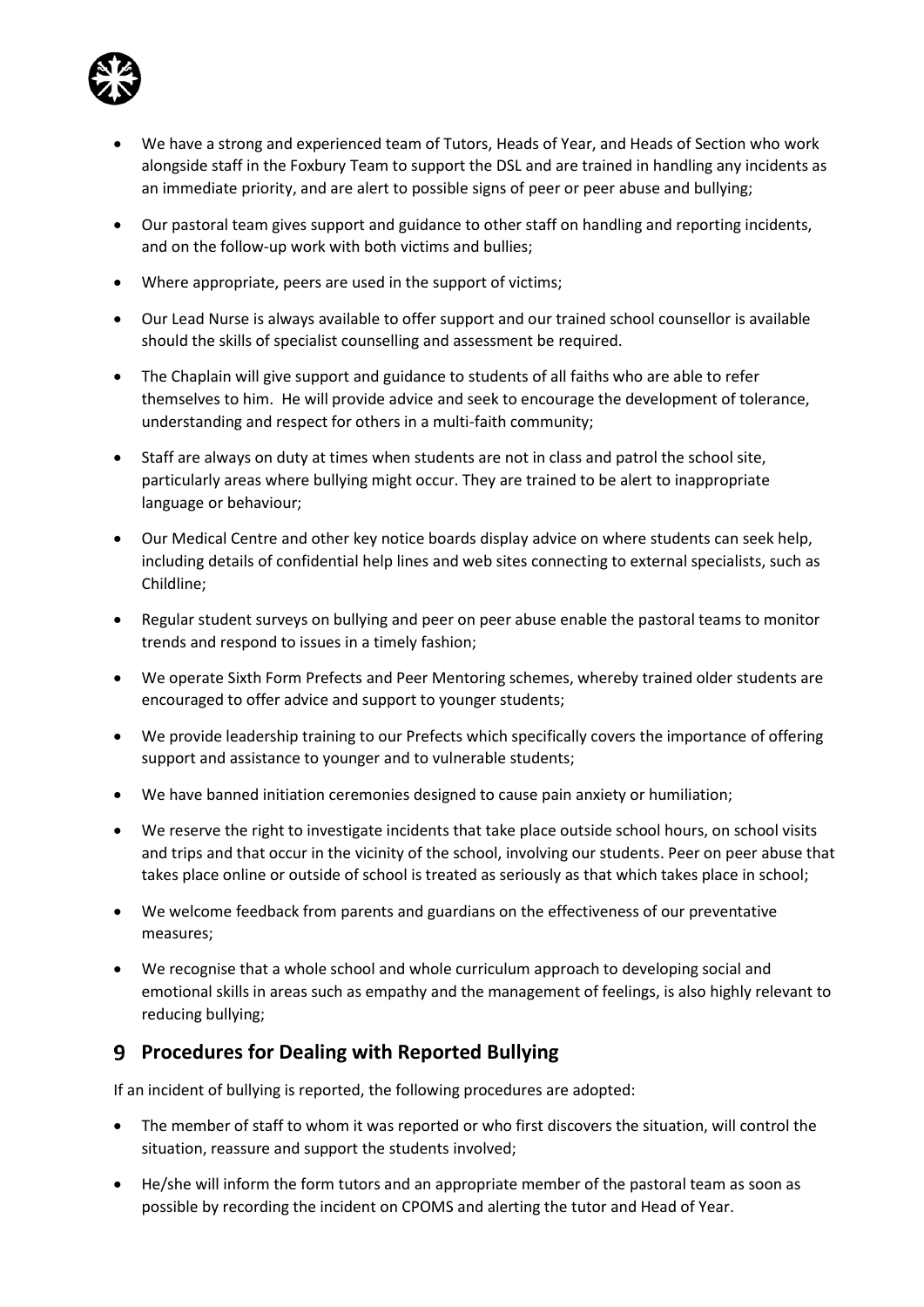

- We have a strong and experienced team of Tutors, Heads of Year, and Heads of Section who work alongside staff in the Foxbury Team to support the DSL and are trained in handling any incidents as an immediate priority, and are alert to possible signs of peer or peer abuse and bullying;
- Our pastoral team gives support and guidance to other staff on handling and reporting incidents, and on the follow-up work with both victims and bullies;
- Where appropriate, peers are used in the support of victims;
- Our Lead Nurse is always available to offer support and our trained school counsellor is available should the skills of specialist counselling and assessment be required.
- The Chaplain will give support and guidance to students of all faiths who are able to refer themselves to him. He will provide advice and seek to encourage the development of tolerance, understanding and respect for others in a multi-faith community;
- Staff are always on duty at times when students are not in class and patrol the school site, particularly areas where bullying might occur. They are trained to be alert to inappropriate language or behaviour;
- Our Medical Centre and other key notice boards display advice on where students can seek help, including details of confidential help lines and web sites connecting to external specialists, such as Childline;
- Regular student surveys on bullying and peer on peer abuse enable the pastoral teams to monitor trends and respond to issues in a timely fashion;
- We operate Sixth Form Prefects and Peer Mentoring schemes, whereby trained older students are encouraged to offer advice and support to younger students;
- We provide leadership training to our Prefects which specifically covers the importance of offering support and assistance to younger and to vulnerable students;
- We have banned initiation ceremonies designed to cause pain anxiety or humiliation;
- We reserve the right to investigate incidents that take place outside school hours, on school visits and trips and that occur in the vicinity of the school, involving our students. Peer on peer abuse that takes place online or outside of school is treated as seriously as that which takes place in school;
- We welcome feedback from parents and guardians on the effectiveness of our preventative measures;
- We recognise that a whole school and whole curriculum approach to developing social and emotional skills in areas such as empathy and the management of feelings, is also highly relevant to reducing bullying;

# **Procedures for Dealing with Reported Bullying**

If an incident of bullying is reported, the following procedures are adopted:

- The member of staff to whom it was reported or who first discovers the situation, will control the situation, reassure and support the students involved;
- He/she will inform the form tutors and an appropriate member of the pastoral team as soon as possible by recording the incident on CPOMS and alerting the tutor and Head of Year.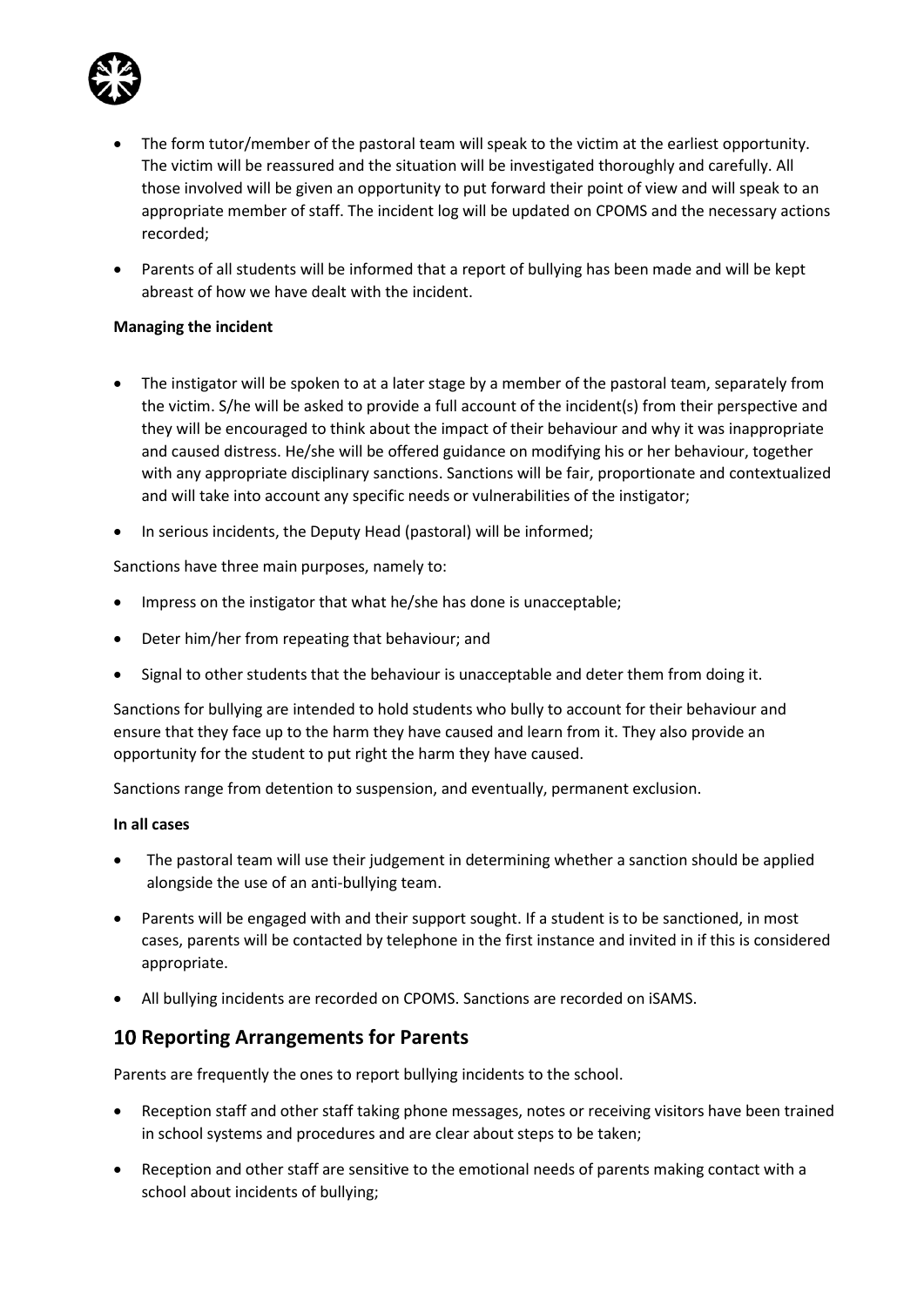

- The form tutor/member of the pastoral team will speak to the victim at the earliest opportunity. The victim will be reassured and the situation will be investigated thoroughly and carefully. All those involved will be given an opportunity to put forward their point of view and will speak to an appropriate member of staff. The incident log will be updated on CPOMS and the necessary actions recorded;
- Parents of all students will be informed that a report of bullying has been made and will be kept abreast of how we have dealt with the incident.

#### **Managing the incident**

- The instigator will be spoken to at a later stage by a member of the pastoral team, separately from the victim. S/he will be asked to provide a full account of the incident(s) from their perspective and they will be encouraged to think about the impact of their behaviour and why it was inappropriate and caused distress. He/she will be offered guidance on modifying his or her behaviour, together with any appropriate disciplinary sanctions. Sanctions will be fair, proportionate and contextualized and will take into account any specific needs or vulnerabilities of the instigator;
- In serious incidents, the Deputy Head (pastoral) will be informed;

Sanctions have three main purposes, namely to:

- Impress on the instigator that what he/she has done is unacceptable;
- Deter him/her from repeating that behaviour; and
- Signal to other students that the behaviour is unacceptable and deter them from doing it.

Sanctions for bullying are intended to hold students who bully to account for their behaviour and ensure that they face up to the harm they have caused and learn from it. They also provide an opportunity for the student to put right the harm they have caused.

Sanctions range from detention to suspension, and eventually, permanent exclusion.

#### **In all cases**

- The pastoral team will use their judgement in determining whether a sanction should be applied alongside the use of an anti-bullying team.
- Parents will be engaged with and their support sought. If a student is to be sanctioned, in most cases, parents will be contacted by telephone in the first instance and invited in if this is considered appropriate.
- All bullying incidents are recorded on CPOMS. Sanctions are recorded on iSAMS.

#### **10 Reporting Arrangements for Parents**

Parents are frequently the ones to report bullying incidents to the school.

- Reception staff and other staff taking phone messages, notes or receiving visitors have been trained in school systems and procedures and are clear about steps to be taken;
- Reception and other staff are sensitive to the emotional needs of parents making contact with a school about incidents of bullying;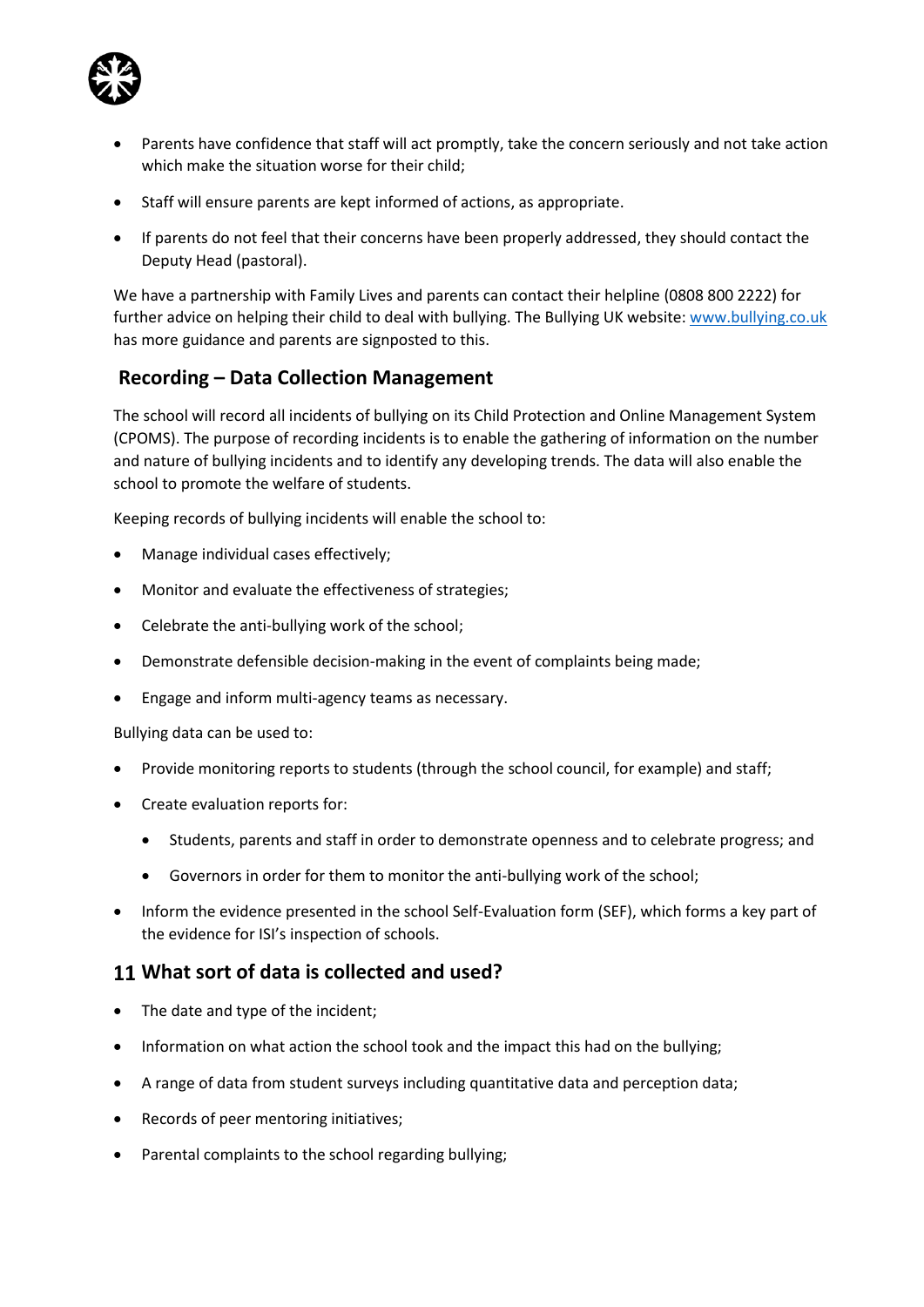

- Parents have confidence that staff will act promptly, take the concern seriously and not take action which make the situation worse for their child:
- Staff will ensure parents are kept informed of actions, as appropriate.
- If parents do not feel that their concerns have been properly addressed, they should contact the Deputy Head (pastoral).

We have a partnership with Family Lives and parents can contact their helpline (0808 800 2222) for further advice on helping their child to deal with bullying. The Bullying UK website[: www.bullying.co.uk](http://www.bullying.co.uk/) has more guidance and parents are signposted to this.

### **Recording – Data Collection Management**

The school will record all incidents of bullying on its Child Protection and Online Management System (CPOMS). The purpose of recording incidents is to enable the gathering of information on the number and nature of bullying incidents and to identify any developing trends. The data will also enable the school to promote the welfare of students.

Keeping records of bullying incidents will enable the school to:

- Manage individual cases effectively;
- Monitor and evaluate the effectiveness of strategies;
- Celebrate the anti-bullying work of the school;
- Demonstrate defensible decision-making in the event of complaints being made;
- Engage and inform multi-agency teams as necessary.

Bullying data can be used to:

- Provide monitoring reports to students (through the school council, for example) and staff;
- Create evaluation reports for:
	- Students, parents and staff in order to demonstrate openness and to celebrate progress; and
	- Governors in order for them to monitor the anti-bullying work of the school;
- Inform the evidence presented in the school Self-Evaluation form (SEF), which forms a key part of the evidence for ISI's inspection of schools.

#### **What sort of data is collected and used?**

- The date and type of the incident;
- Information on what action the school took and the impact this had on the bullying;
- A range of data from student surveys including quantitative data and perception data;
- Records of peer mentoring initiatives;
- Parental complaints to the school regarding bullying;